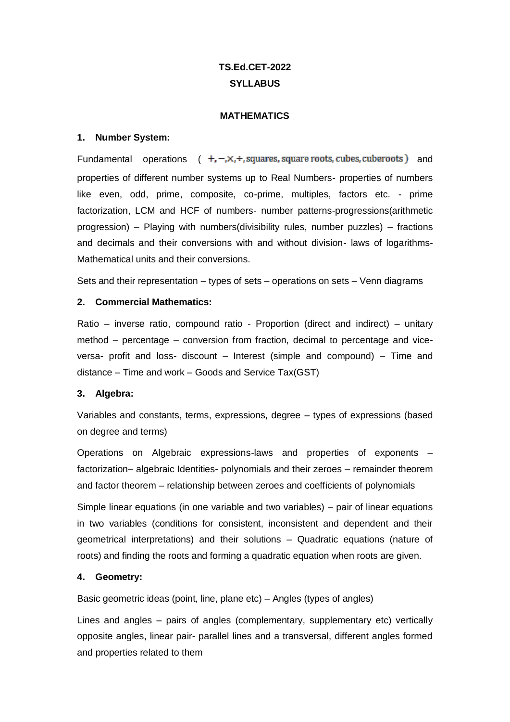# **TS.Ed.CET-2022 SYLLABUS**

#### **MATHEMATICS**

#### **1. Number System:**

Fundamental operations  $( +,-, \times, +,$  squares, square roots, cubes, cuberoots) and properties of different number systems up to Real Numbers- properties of numbers like even, odd, prime, composite, co-prime, multiples, factors etc. - prime factorization, LCM and HCF of numbers- number patterns-progressions(arithmetic progression) – Playing with numbers(divisibility rules, number puzzles) – fractions and decimals and their conversions with and without division- laws of logarithms-Mathematical units and their conversions.

Sets and their representation – types of sets – operations on sets – Venn diagrams

#### **2. Commercial Mathematics:**

Ratio – inverse ratio, compound ratio - Proportion (direct and indirect) – unitary method – percentage – conversion from fraction, decimal to percentage and viceversa- profit and loss- discount – Interest (simple and compound) – Time and distance – Time and work – Goods and Service Tax(GST)

#### **3. Algebra:**

Variables and constants, terms, expressions, degree – types of expressions (based on degree and terms)

Operations on Algebraic expressions-laws and properties of exponents – factorization– algebraic Identities- polynomials and their zeroes – remainder theorem and factor theorem – relationship between zeroes and coefficients of polynomials

Simple linear equations (in one variable and two variables) – pair of linear equations in two variables (conditions for consistent, inconsistent and dependent and their geometrical interpretations) and their solutions – Quadratic equations (nature of roots) and finding the roots and forming a quadratic equation when roots are given.

#### **4. Geometry:**

Basic geometric ideas (point, line, plane etc) – Angles (types of angles)

Lines and angles – pairs of angles (complementary, supplementary etc) vertically opposite angles, linear pair- parallel lines and a transversal, different angles formed and properties related to them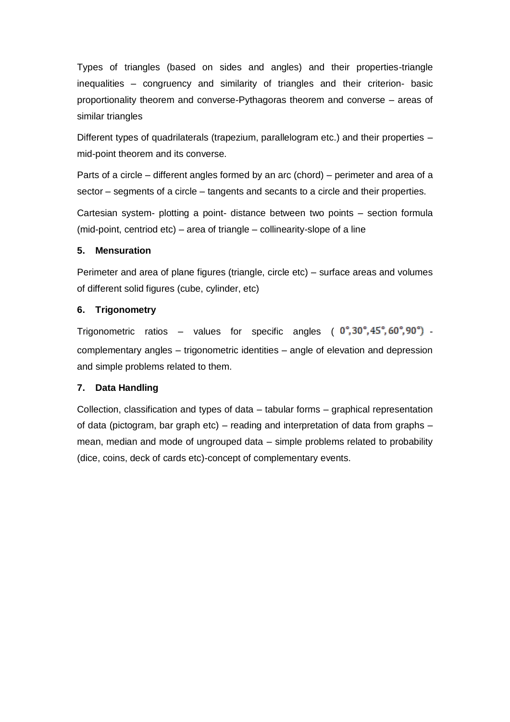Types of triangles (based on sides and angles) and their properties-triangle inequalities – congruency and similarity of triangles and their criterion- basic proportionality theorem and converse-Pythagoras theorem and converse – areas of similar triangles

Different types of quadrilaterals (trapezium, parallelogram etc.) and their properties – mid-point theorem and its converse.

Parts of a circle – different angles formed by an arc (chord) – perimeter and area of a sector – segments of a circle – tangents and secants to a circle and their properties.

Cartesian system- plotting a point- distance between two points – section formula (mid-point, centriod etc) – area of triangle – collinearity-slope of a line

#### **5. Mensuration**

Perimeter and area of plane figures (triangle, circle etc) – surface areas and volumes of different solid figures (cube, cylinder, etc)

## **6. Trigonometry**

Trigonometric ratios – values for specific angles  $(0^\circ, 30^\circ, 45^\circ, 60^\circ, 90^\circ)$ complementary angles – trigonometric identities – angle of elevation and depression and simple problems related to them.

## **7. Data Handling**

Collection, classification and types of data – tabular forms – graphical representation of data (pictogram, bar graph etc) – reading and interpretation of data from graphs – mean, median and mode of ungrouped data – simple problems related to probability (dice, coins, deck of cards etc)-concept of complementary events.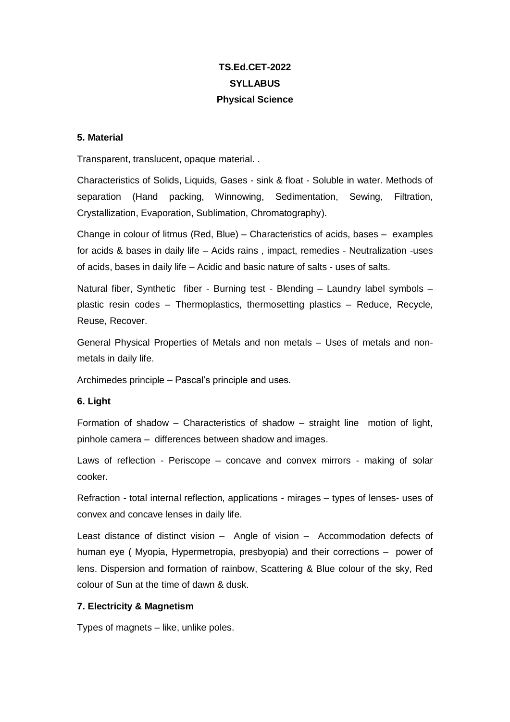# **TS.Ed.CET-2022 SYLLABUS Physical Science**

#### **5. Material**

Transparent, translucent, opaque material. .

Characteristics of Solids, Liquids, Gases - sink & float - Soluble in water. Methods of separation (Hand packing, Winnowing, Sedimentation, Sewing, Filtration, Crystallization, Evaporation, Sublimation, Chromatography).

Change in colour of litmus (Red, Blue) – Characteristics of acids, bases – examples for acids & bases in daily life – Acids rains , impact, remedies - Neutralization -uses of acids, bases in daily life – Acidic and basic nature of salts - uses of salts.

Natural fiber, Synthetic fiber - Burning test - Blending – Laundry label symbols – plastic resin codes – Thermoplastics, thermosetting plastics – Reduce, Recycle, Reuse, Recover.

General Physical Properties of Metals and non metals – Uses of metals and nonmetals in daily life.

Archimedes principle – Pascal's principle and uses.

#### **6. Light**

Formation of shadow – Characteristics of shadow – straight line motion of light, pinhole camera – differences between shadow and images.

Laws of reflection - Periscope – concave and convex mirrors - making of solar cooker.

Refraction - total internal reflection, applications - mirages – types of lenses- uses of convex and concave lenses in daily life.

Least distance of distinct vision – Angle of vision – Accommodation defects of human eye ( Myopia, Hypermetropia, presbyopia) and their corrections – power of lens. Dispersion and formation of rainbow, Scattering & Blue colour of the sky, Red colour of Sun at the time of dawn & dusk.

#### **7. Electricity & Magnetism**

Types of magnets – like, unlike poles.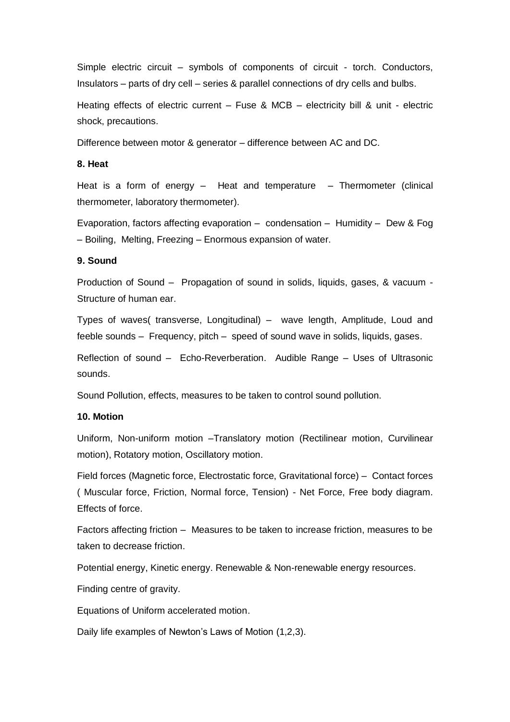Simple electric circuit – symbols of components of circuit - torch. Conductors, Insulators – parts of dry cell – series & parallel connections of dry cells and bulbs.

Heating effects of electric current – Fuse & MCB – electricity bill & unit - electric shock, precautions.

Difference between motor & generator – difference between AC and DC.

#### **8. Heat**

Heat is a form of energy – Heat and temperature – Thermometer (clinical thermometer, laboratory thermometer).

Evaporation, factors affecting evaporation – condensation – Humidity – Dew & Fog – Boiling, Melting, Freezing – Enormous expansion of water.

#### **9. Sound**

Production of Sound – Propagation of sound in solids, liquids, gases, & vacuum - Structure of human ear.

Types of waves( transverse, Longitudinal) – wave length, Amplitude, Loud and feeble sounds – Frequency, pitch – speed of sound wave in solids, liquids, gases.

Reflection of sound – Echo-Reverberation. Audible Range – Uses of Ultrasonic sounds.

Sound Pollution, effects, measures to be taken to control sound pollution.

#### **10. Motion**

Uniform, Non-uniform motion –Translatory motion (Rectilinear motion, Curvilinear motion), Rotatory motion, Oscillatory motion.

Field forces (Magnetic force, Electrostatic force, Gravitational force) – Contact forces ( Muscular force, Friction, Normal force, Tension) - Net Force, Free body diagram. Effects of force.

Factors affecting friction – Measures to be taken to increase friction, measures to be taken to decrease friction.

Potential energy, Kinetic energy. Renewable & Non-renewable energy resources.

Finding centre of gravity.

Equations of Uniform accelerated motion.

Daily life examples of Newton's Laws of Motion (1,2,3).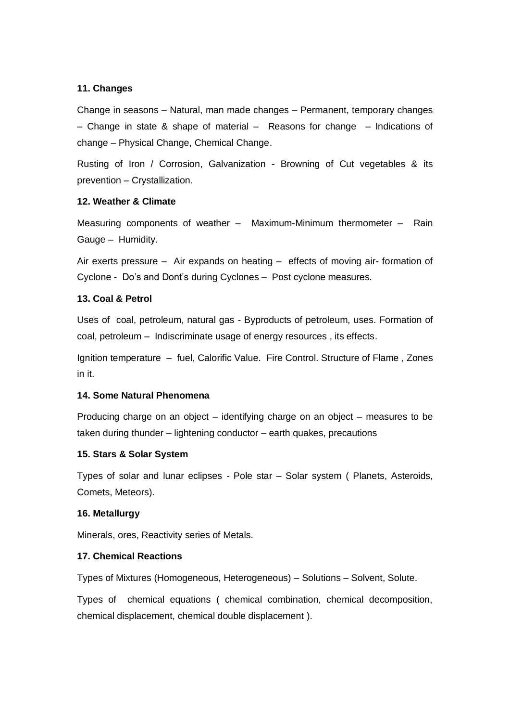#### **11. Changes**

Change in seasons – Natural, man made changes – Permanent, temporary changes – Change in state & shape of material – Reasons for change – Indications of change – Physical Change, Chemical Change.

Rusting of Iron / Corrosion, Galvanization - Browning of Cut vegetables & its prevention – Crystallization.

#### **12. Weather & Climate**

Measuring components of weather – Maximum-Minimum thermometer – Rain Gauge – Humidity.

Air exerts pressure – Air expands on heating – effects of moving air- formation of Cyclone - Do's and Dont's during Cyclones – Post cyclone measures.

#### **13. Coal & Petrol**

Uses of coal, petroleum, natural gas - Byproducts of petroleum, uses. Formation of coal, petroleum – Indiscriminate usage of energy resources , its effects.

Ignition temperature – fuel, Calorific Value. Fire Control. Structure of Flame , Zones in it.

#### **14. Some Natural Phenomena**

Producing charge on an object – identifying charge on an object – measures to be taken during thunder – lightening conductor – earth quakes, precautions

#### **15. Stars & Solar System**

Types of solar and lunar eclipses - Pole star – Solar system ( Planets, Asteroids, Comets, Meteors).

#### **16. Metallurgy**

Minerals, ores, Reactivity series of Metals.

#### **17. Chemical Reactions**

Types of Mixtures (Homogeneous, Heterogeneous) – Solutions – Solvent, Solute.

Types of chemical equations ( chemical combination, chemical decomposition, chemical displacement, chemical double displacement ).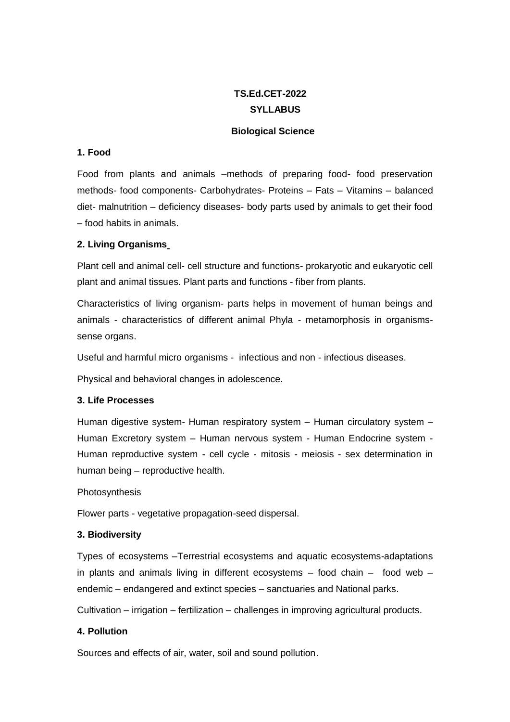# **TS.Ed.CET-2022 SYLLABUS**

### **Biological Science**

## **1. Food**

Food from plants and animals –methods of preparing food- food preservation methods- food components- Carbohydrates- Proteins – Fats – Vitamins – balanced diet- malnutrition – deficiency diseases- body parts used by animals to get their food – food habits in animals.

## **2. Living Organisms**

Plant cell and animal cell- cell structure and functions- prokaryotic and eukaryotic cell plant and animal tissues. Plant parts and functions - fiber from plants.

Characteristics of living organism- parts helps in movement of human beings and animals - characteristics of different animal Phyla - metamorphosis in organismssense organs.

Useful and harmful micro organisms - infectious and non - infectious diseases.

Physical and behavioral changes in adolescence.

## **3. Life Processes**

Human digestive system- Human respiratory system – Human circulatory system – Human Excretory system – Human nervous system - Human Endocrine system - Human reproductive system - cell cycle - mitosis - meiosis - sex determination in human being – reproductive health.

#### Photosynthesis

Flower parts - vegetative propagation-seed dispersal.

## **3. Biodiversity**

Types of ecosystems –Terrestrial ecosystems and aquatic ecosystems-adaptations in plants and animals living in different ecosystems – food chain – food web – endemic – endangered and extinct species – sanctuaries and National parks.

Cultivation – irrigation – fertilization – challenges in improving agricultural products.

## **4. Pollution**

Sources and effects of air, water, soil and sound pollution.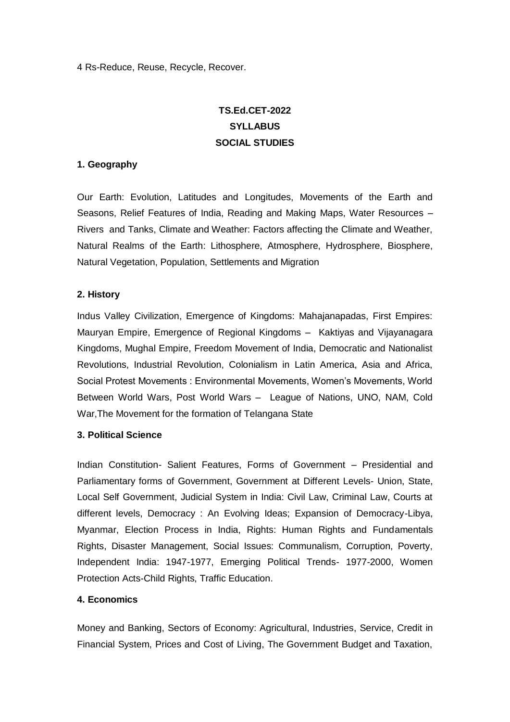4 Rs-Reduce, Reuse, Recycle, Recover.

# **TS.Ed.CET-2022 SYLLABUS SOCIAL STUDIES**

### **1. Geography**

Our Earth: Evolution, Latitudes and Longitudes, Movements of the Earth and Seasons, Relief Features of India, Reading and Making Maps, Water Resources – Rivers and Tanks, Climate and Weather: Factors affecting the Climate and Weather, Natural Realms of the Earth: Lithosphere, Atmosphere, Hydrosphere, Biosphere, Natural Vegetation, Population, Settlements and Migration

## **2. History**

Indus Valley Civilization, Emergence of Kingdoms: Mahajanapadas, First Empires: Mauryan Empire, Emergence of Regional Kingdoms – Kaktiyas and Vijayanagara Kingdoms, Mughal Empire, Freedom Movement of India, Democratic and Nationalist Revolutions, Industrial Revolution, Colonialism in Latin America, Asia and Africa, Social Protest Movements : Environmental Movements, Women's Movements, World Between World Wars, Post World Wars – League of Nations, UNO, NAM, Cold War,The Movement for the formation of Telangana State

#### **3. Political Science**

Indian Constitution- Salient Features, Forms of Government – Presidential and Parliamentary forms of Government, Government at Different Levels- Union, State, Local Self Government, Judicial System in India: Civil Law, Criminal Law, Courts at different levels, Democracy : An Evolving Ideas; Expansion of Democracy-Libya, Myanmar, Election Process in India, Rights: Human Rights and Fundamentals Rights, Disaster Management, Social Issues: Communalism, Corruption, Poverty, Independent India: 1947-1977, Emerging Political Trends- 1977-2000, Women Protection Acts-Child Rights, Traffic Education.

## **4. Economics**

Money and Banking, Sectors of Economy: Agricultural, Industries, Service, Credit in Financial System, Prices and Cost of Living, The Government Budget and Taxation,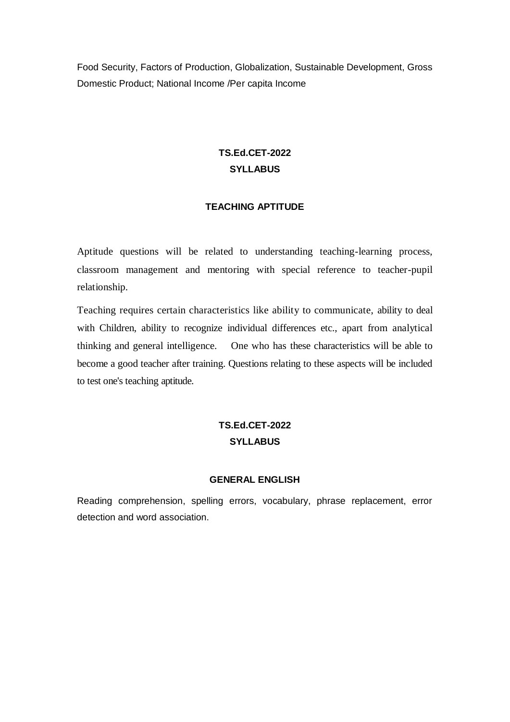Food Security, Factors of Production, Globalization, Sustainable Development, Gross Domestic Product; National Income /Per capita Income

# **TS.Ed.CET-2022 SYLLABUS**

### **TEACHING APTITUDE**

Aptitude questions will be related to understanding teaching-learning process, classroom management and mentoring with special reference to teacher-pupil relationship.

Teaching requires certain characteristics like ability to communicate, ability to deal with Children, ability to recognize individual differences etc., apart from analytical thinking and general intelligence. One who has these characteristics will be able to become a good teacher after training. Questions relating to these aspects will be included to test one's teaching aptitude.

## **TS.Ed.CET-2022 SYLLABUS**

#### **GENERAL ENGLISH**

Reading comprehension, spelling errors, vocabulary, phrase replacement, error detection and word association.